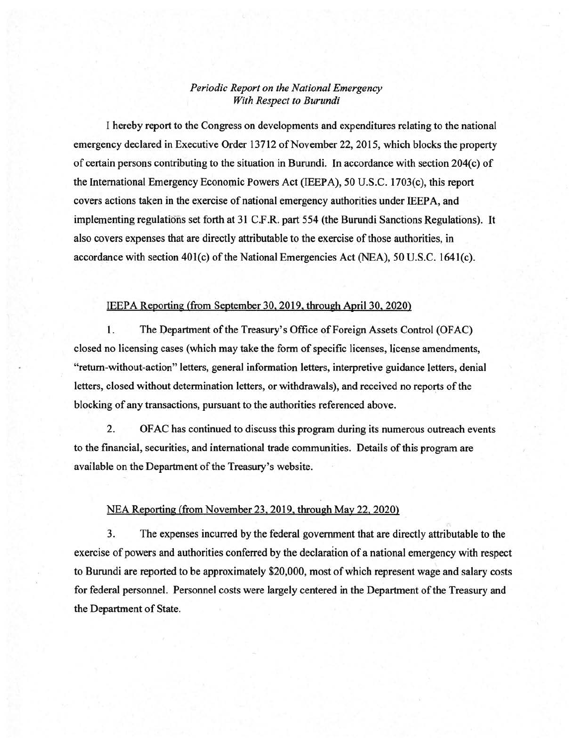## *Periodic Report on the National Emergency With Respect to Burundi*

I hereby report to the Congress on developments and expenditures relating to the national emergency declared in Executive Order 13712 of November 22, 2015, which blocks the property of certain persons contributing to the situation in Burundi. In accordance with section  $204(c)$  of the International Emergency Economic Powers Act (IEEPA), 50 U.S.C. 1703(c), this report covers actions taken in the exercise of national emergency authorities under IEEPA, and implementing regulations set forth at 31 C.F.R. part 554 (the Burundi Sanctions Regulations). It also covers expenses that are directly attributable to the exercise of those authorities, in accordance with section  $401(c)$  of the National Emergencies Act (NEA), 50 U.S.C. 1641(c).

## IEEPA Reporting (from September 30.2019. through April30, 2020)

1. The Department of the Treasury's Office of Foreign Assets Control (OFAC) closed no licensing cases (which may take the form of specific licenses, license amendments, "return-without-action" letters, general information letters, interpretive guidance letters, denial letters, closed without determination letters, or withdrawals), and received no reports of the blocking of any transactions, pursuant to the authorities referenced above.

2. OF AC has continued to discuss this program during its numerous outreach events to the financial, securities, and international trade communities. Details of this program are available on the Department of the Treasury's website.

## NEA Reporting (from November 23.2019, through May 22. 2020)

3. The expenses incurred by the federal government that are directly attributable to the exercise of powers and authorities conferred by the declaration of a national emergency with respect to Burundi are reported to be approximately \$20,000, most of which represent wage and salary costs for federal personnel. Personnel costs were largely centered in the Department of the Treasury and the Department of State.